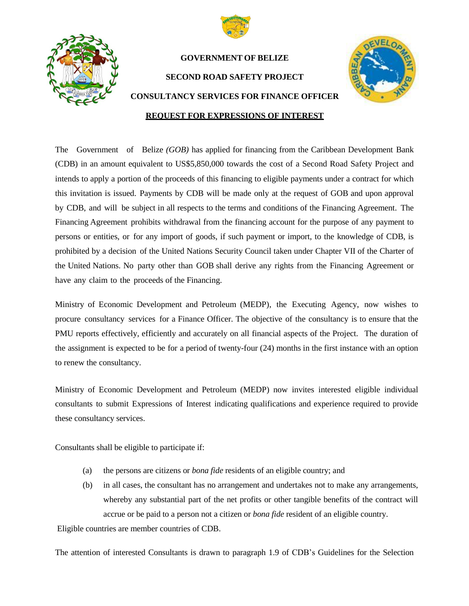



## **GOVERNMENT OF BELIZE SECOND ROAD SAFETY PROJECT CONSULTANCY SERVICES FOR FINANCE OFFICER REQUEST FOR EXPRESSIONS OF INTEREST**



## The Government of Belize *(GOB)* has applied for financing from the Caribbean Development Bank (CDB) in an amount equivalent to US\$5,850,000 towards the cost of a Second Road Safety Project and intends to apply a portion of the proceeds of this financing to eligible payments under a contract for which this invitation is issued. Payments by CDB will be made only at the request of GOB and upon approval by CDB, and will be subject in all respects to the terms and conditions of the Financing Agreement. The Financing Agreement prohibits withdrawal from the financing account for the purpose of any payment to persons or entities, or for any import of goods, if such payment or import, to the knowledge of CDB, is prohibited by a decision of the United Nations Security Council taken under Chapter VII of the Charter of the United Nations. No party other than GOB shall derive any rights from the Financing Agreement or have any claim to the proceeds of the Financing.

Ministry of Economic Development and Petroleum (MEDP), the Executing Agency, now wishes to procure consultancy services for a Finance Officer. The objective of the consultancy is to ensure that the PMU reports effectively, efficiently and accurately on all financial aspects of the Project. The duration of the assignment is expected to be for a period of twenty-four (24) months in the first instance with an option to renew the consultancy.

Ministry of Economic Development and Petroleum (MEDP) now invites interested eligible individual consultants to submit Expressions of Interest indicating qualifications and experience required to provide these consultancy services.

Consultants shall be eligible to participate if:

- (a) the persons are citizens or *bona fide* residents of an eligible country; and
- (b) in all cases, the consultant has no arrangement and undertakes not to make any arrangements, whereby any substantial part of the net profits or other tangible benefits of the contract will accrue or be paid to a person not a citizen or *bona fide* resident of an eligible country.

Eligible countries are member countries of CDB.

The attention of interested Consultants is drawn to paragraph 1.9 of CDB's Guidelines for the Selection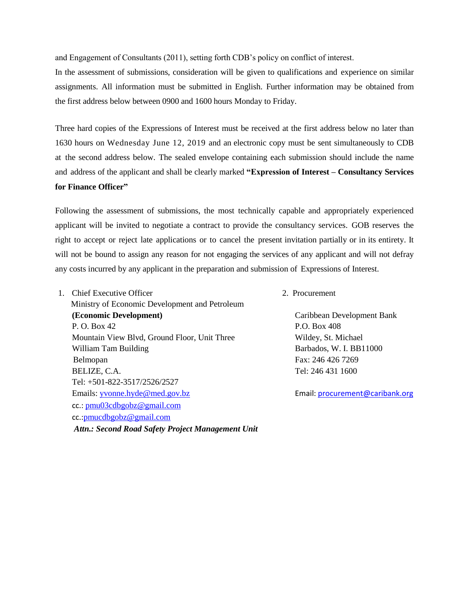and Engagement of Consultants (2011), setting forth CDB's policy on conflict of interest.

In the assessment of submissions, consideration will be given to qualifications and experience on similar assignments. All information must be submitted in English. Further information may be obtained from the first address below between 0900 and 1600 hours Monday to Friday.

Three hard copies of the Expressions of Interest must be received at the first address below no later than 1630 hours on Wednesday June 12, 2019 and an electronic copy must be sent simultaneously to CDB at the second address below. The sealed envelope containing each submission should include the name and address of the applicant and shall be clearly marked **"Expression of Interest – Consultancy Services for Finance Officer"**

Following the assessment of submissions, the most technically capable and appropriately experienced applicant will be invited to negotiate a contract to provide the consultancy services. GOB reserves the right to accept or reject late applications or to cancel the present invitation partially or in its entirety. It will not be bound to assign any reason for not engaging the services of any applicant and will not defray any costs incurred by any applicant in the preparation and submission of Expressions of Interest.

- 1. Chief Executive Officer 2. Procurement Ministry of Economic Development and Petroleum **(Economic Development)** Caribbean Development Bank P. O. Box 42 P.O. Box 408 Mountain View Blvd, Ground Floor, Unit Three Wildey, St. Michael William Tam Building **Barbados**, W. I. BB11000 Belmopan Fax: 246 426 7269 BELIZE, C.A. Tel: 246 431 1600 Tel: +501-822-3517/2526/2527 Emails: [yvonne.hyde@med.gov.bz](mailto:ceo@med.gov.bz) Email: [procurement@caribank.org](file:///E:/Second%20Road%20Safety%20Project/RSP%202%202019/CDB/SPNs/CDB%20Feedback/procurement@caribank.org) cc.: [pmu03cdbgobz@gmail.com](mailto:pmu03cdbgobz@gmail.com) cc.:[pmucdbgobz@gmail.com](mailto:pmucdbgobz@gmail.com) *Attn.: Second Road Safety Project Management Unit*
	-